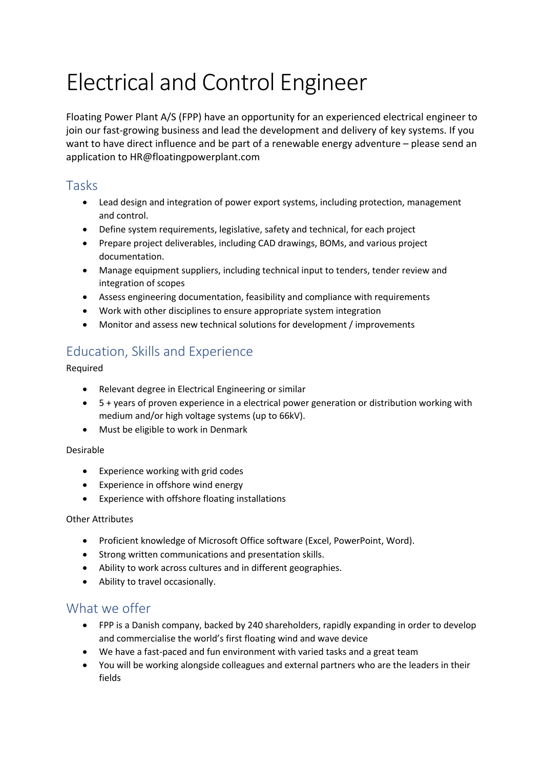# Electrical and Control Engineer

Floating Power Plant A/S (FPP) have an opportunity for an experienced electrical engineer to join our fast-growing business and lead the development and delivery of key systems. If you want to have direct influence and be part of a renewable energy adventure – please send an application to HR@floatingpowerplant.com

## Tasks

- Lead design and integration of power export systems, including protection, management and control.
- Define system requirements, legislative, safety and technical, for each project
- Prepare project deliverables, including CAD drawings, BOMs, and various project documentation.
- Manage equipment suppliers, including technical input to tenders, tender review and integration of scopes
- Assess engineering documentation, feasibility and compliance with requirements
- Work with other disciplines to ensure appropriate system integration
- Monitor and assess new technical solutions for development / improvements

# Education, Skills and Experience

Required

- Relevant degree in Electrical Engineering or similar
- 5 + years of proven experience in a electrical power generation or distribution working with medium and/or high voltage systems (up to 66kV).
- Must be eligible to work in Denmark

#### Desirable

- Experience working with grid codes
- Experience in offshore wind energy
- Experience with offshore floating installations

#### Other Attributes

- Proficient knowledge of Microsoft Office software (Excel, PowerPoint, Word).
- Strong written communications and presentation skills.
- Ability to work across cultures and in different geographies.
- Ability to travel occasionally.

## What we offer

- FPP is a Danish company, backed by 240 shareholders, rapidly expanding in order to develop and commercialise the world's first floating wind and wave device
- We have a fast-paced and fun environment with varied tasks and a great team
- You will be working alongside colleagues and external partners who are the leaders in their fields